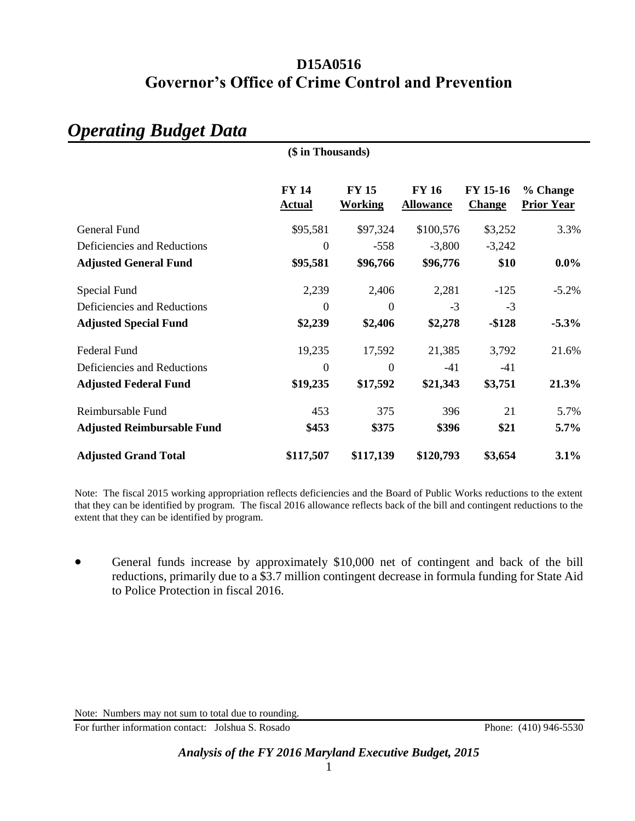|                                   | (\$ in Thousands)             |                         |                                  |                           |                               |
|-----------------------------------|-------------------------------|-------------------------|----------------------------------|---------------------------|-------------------------------|
|                                   | <b>FY 14</b><br><b>Actual</b> | <b>FY 15</b><br>Working | <b>FY 16</b><br><b>Allowance</b> | FY 15-16<br><b>Change</b> | % Change<br><b>Prior Year</b> |
| General Fund                      | \$95,581                      | \$97,324                | \$100,576                        | \$3,252                   | 3.3%                          |
| Deficiencies and Reductions       | $\theta$                      | $-558$                  | $-3,800$                         | $-3,242$                  |                               |
| <b>Adjusted General Fund</b>      | \$95,581                      | \$96,766                | \$96,776                         | \$10                      | $0.0\%$                       |
| Special Fund                      | 2,239                         | 2,406                   | 2,281                            | $-125$                    | $-5.2\%$                      |
| Deficiencies and Reductions       | $\overline{0}$                | $\theta$                | $-3$                             | $-3$                      |                               |
| <b>Adjusted Special Fund</b>      | \$2,239                       | \$2,406                 | \$2,278                          | $-$ \$128                 | $-5.3\%$                      |
| <b>Federal Fund</b>               | 19,235                        | 17,592                  | 21,385                           | 3,792                     | 21.6%                         |
| Deficiencies and Reductions       | $\boldsymbol{0}$              | $\overline{0}$          | $-41$                            | $-41$                     |                               |
| <b>Adjusted Federal Fund</b>      | \$19,235                      | \$17,592                | \$21,343                         | \$3,751                   | 21.3%                         |
| Reimbursable Fund                 | 453                           | 375                     | 396                              | 21                        | 5.7%                          |
| <b>Adjusted Reimbursable Fund</b> | \$453                         | \$375                   | \$396                            | \$21                      | $5.7\%$                       |
| <b>Adjusted Grand Total</b>       | \$117,507                     | \$117,139               | \$120,793                        | \$3,654                   | 3.1%                          |

## *Operating Budget Data*

Note: The fiscal 2015 working appropriation reflects deficiencies and the Board of Public Works reductions to the extent that they can be identified by program. The fiscal 2016 allowance reflects back of the bill and contingent reductions to the extent that they can be identified by program.

 General funds increase by approximately \$10,000 net of contingent and back of the bill reductions, primarily due to a \$3.7 million contingent decrease in formula funding for State Aid to Police Protection in fiscal 2016.

For further information contact: Jolshua S. Rosado Phone: (410) 946-5530

Note: Numbers may not sum to total due to rounding.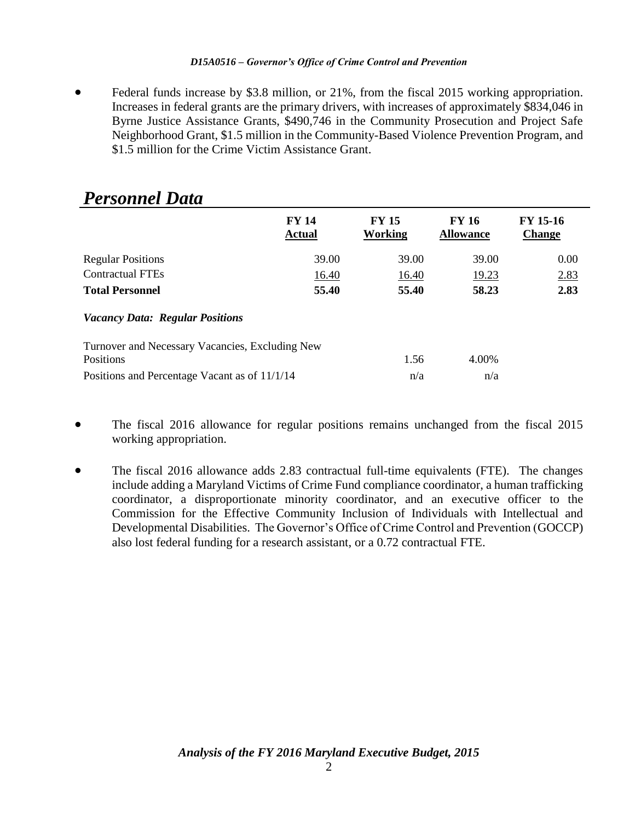Federal funds increase by \$3.8 million, or 21%, from the fiscal 2015 working appropriation. Increases in federal grants are the primary drivers, with increases of approximately \$834,046 in Byrne Justice Assistance Grants, \$490,746 in the Community Prosecution and Project Safe Neighborhood Grant, \$1.5 million in the Community-Based Violence Prevention Program, and \$1.5 million for the Crime Victim Assistance Grant.

|                                                              | <b>FY 14</b><br><b>Actual</b> | <b>FY 15</b><br>Working | <b>FY 16</b><br><b>Allowance</b> | <b>FY 15-16</b><br><b>Change</b> |
|--------------------------------------------------------------|-------------------------------|-------------------------|----------------------------------|----------------------------------|
| <b>Regular Positions</b>                                     | 39.00                         | 39.00                   | 39.00                            | 0.00                             |
| <b>Contractual FTEs</b>                                      | 16.40                         | 16.40                   | 19.23                            | 2.83                             |
| <b>Total Personnel</b>                                       | 55.40                         | 55.40                   | 58.23                            | 2.83                             |
| <b>Vacancy Data: Regular Positions</b>                       |                               |                         |                                  |                                  |
| Turnover and Necessary Vacancies, Excluding New<br>Positions |                               | 1.56                    | 4.00%                            |                                  |
| Positions and Percentage Vacant as of 11/1/14                |                               | n/a                     | n/a                              |                                  |

## *Personnel Data*

 The fiscal 2016 allowance for regular positions remains unchanged from the fiscal 2015 working appropriation.

• The fiscal 2016 allowance adds 2.83 contractual full-time equivalents (FTE). The changes include adding a Maryland Victims of Crime Fund compliance coordinator, a human trafficking coordinator, a disproportionate minority coordinator, and an executive officer to the Commission for the Effective Community Inclusion of Individuals with Intellectual and Developmental Disabilities. The Governor's Office of Crime Control and Prevention (GOCCP) also lost federal funding for a research assistant, or a 0.72 contractual FTE.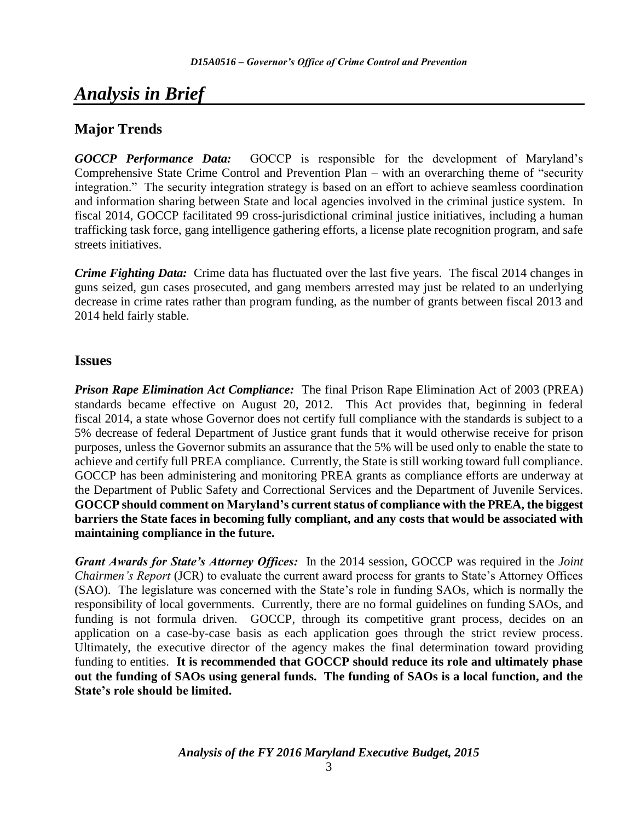## *Analysis in Brief*

## **Major Trends**

*GOCCP Performance Data:* GOCCP is responsible for the development of Maryland's Comprehensive State Crime Control and Prevention Plan – with an overarching theme of "security integration." The security integration strategy is based on an effort to achieve seamless coordination and information sharing between State and local agencies involved in the criminal justice system. In fiscal 2014, GOCCP facilitated 99 cross-jurisdictional criminal justice initiatives, including a human trafficking task force, gang intelligence gathering efforts, a license plate recognition program, and safe streets initiatives.

*Crime Fighting Data:* Crime data has fluctuated over the last five years. The fiscal 2014 changes in guns seized, gun cases prosecuted, and gang members arrested may just be related to an underlying decrease in crime rates rather than program funding, as the number of grants between fiscal 2013 and 2014 held fairly stable.

## **Issues**

*Prison Rape Elimination Act Compliance:* The final Prison Rape Elimination Act of 2003 (PREA) standards became effective on August 20, 2012. This Act provides that, beginning in federal fiscal 2014, a state whose Governor does not certify full compliance with the standards is subject to a 5% decrease of federal Department of Justice grant funds that it would otherwise receive for prison purposes, unless the Governor submits an assurance that the 5% will be used only to enable the state to achieve and certify full PREA compliance. Currently, the State is still working toward full compliance. GOCCP has been administering and monitoring PREA grants as compliance efforts are underway at the Department of Public Safety and Correctional Services and the Department of Juvenile Services. **GOCCP should comment on Maryland's current status of compliance with the PREA, the biggest barriers the State faces in becoming fully compliant, and any costs that would be associated with maintaining compliance in the future.**

*Grant Awards for State's Attorney Offices:* In the 2014 session, GOCCP was required in the *Joint Chairmen's Report* (JCR) to evaluate the current award process for grants to State's Attorney Offices (SAO). The legislature was concerned with the State's role in funding SAOs, which is normally the responsibility of local governments. Currently, there are no formal guidelines on funding SAOs, and funding is not formula driven. GOCCP, through its competitive grant process, decides on an application on a case-by-case basis as each application goes through the strict review process. Ultimately, the executive director of the agency makes the final determination toward providing funding to entities. **It is recommended that GOCCP should reduce its role and ultimately phase out the funding of SAOs using general funds. The funding of SAOs is a local function, and the State's role should be limited.**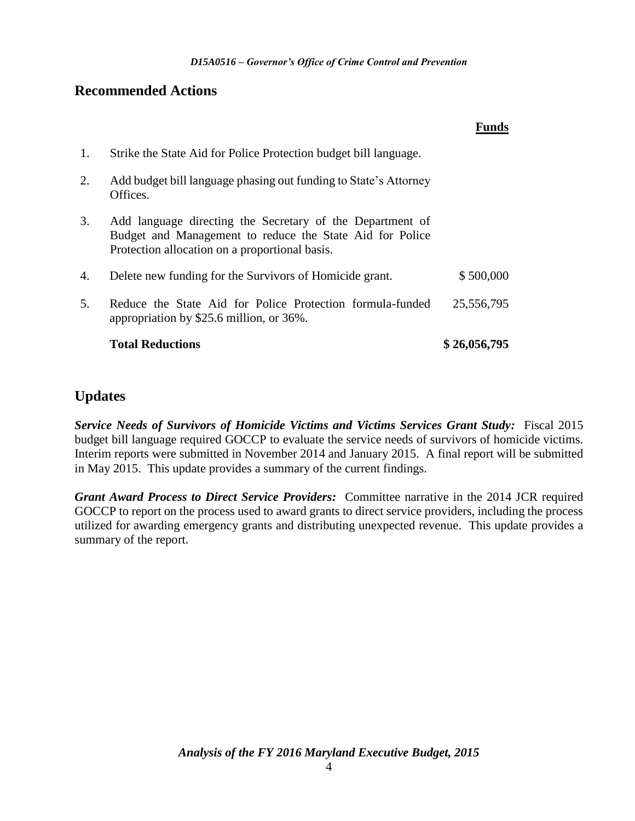## **Recommended Actions**

|    |                                                                                                                                                                         | `und         |
|----|-------------------------------------------------------------------------------------------------------------------------------------------------------------------------|--------------|
| 1. | Strike the State Aid for Police Protection budget bill language.                                                                                                        |              |
| 2. | Add budget bill language phasing out funding to State's Attorney<br>Offices.                                                                                            |              |
| 3. | Add language directing the Secretary of the Department of<br>Budget and Management to reduce the State Aid for Police<br>Protection allocation on a proportional basis. |              |
| 4. | Delete new funding for the Survivors of Homicide grant.                                                                                                                 | \$500,000    |
| 5. | Reduce the State Aid for Police Protection formula-funded<br>appropriation by \$25.6 million, or 36%.                                                                   | 25,556,795   |
|    | <b>Total Reductions</b>                                                                                                                                                 | \$26,056,795 |

## **Updates**

*Service Needs of Survivors of Homicide Victims and Victims Services Grant Study:* Fiscal 2015 budget bill language required GOCCP to evaluate the service needs of survivors of homicide victims. Interim reports were submitted in November 2014 and January 2015. A final report will be submitted in May 2015. This update provides a summary of the current findings.

*Grant Award Process to Direct Service Providers:* Committee narrative in the 2014 JCR required GOCCP to report on the process used to award grants to direct service providers, including the process utilized for awarding emergency grants and distributing unexpected revenue. This update provides a summary of the report.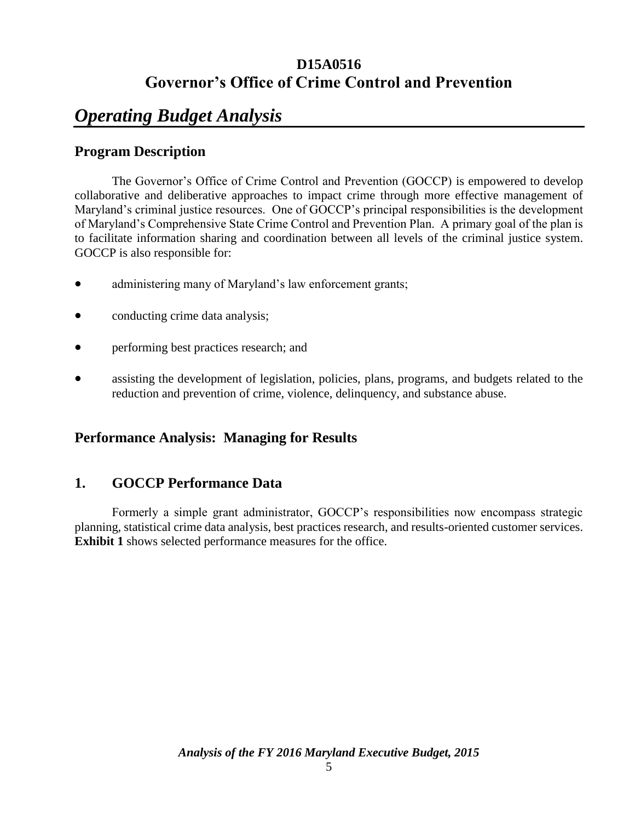## *Operating Budget Analysis*

## **Program Description**

The Governor's Office of Crime Control and Prevention (GOCCP) is empowered to develop collaborative and deliberative approaches to impact crime through more effective management of Maryland's criminal justice resources. One of GOCCP's principal responsibilities is the development of Maryland's Comprehensive State Crime Control and Prevention Plan. A primary goal of the plan is to facilitate information sharing and coordination between all levels of the criminal justice system. GOCCP is also responsible for:

- administering many of Maryland's law enforcement grants;
- conducting crime data analysis;
- performing best practices research; and
- assisting the development of legislation, policies, plans, programs, and budgets related to the reduction and prevention of crime, violence, delinquency, and substance abuse.

## **Performance Analysis: Managing for Results**

## **1. GOCCP Performance Data**

Formerly a simple grant administrator, GOCCP's responsibilities now encompass strategic planning, statistical crime data analysis, best practices research, and results-oriented customer services. **Exhibit 1** shows selected performance measures for the office.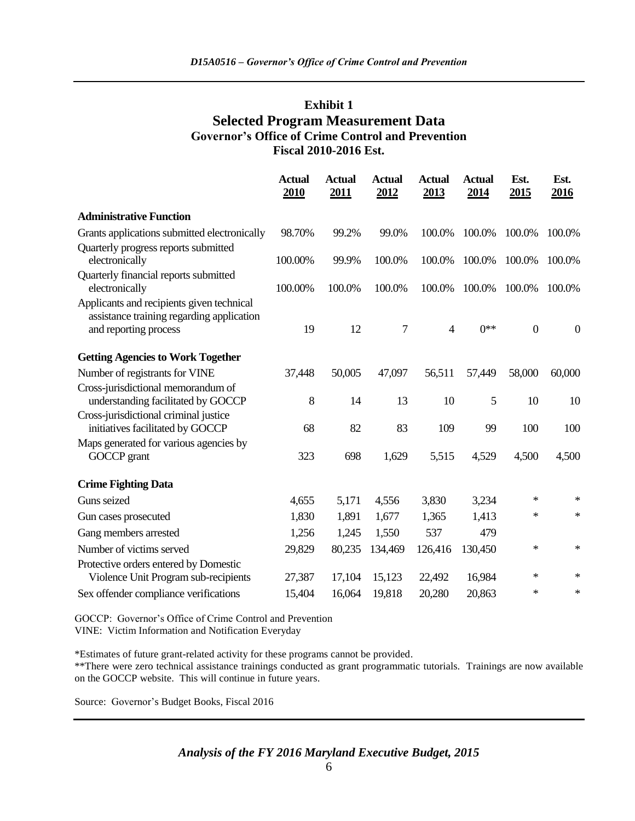## **Exhibit 1 Selected Program Measurement Data Governor's Office of Crime Control and Prevention Fiscal 2010-2016 Est.**

|                                                                                                                 | <b>Actual</b><br>2010 | <b>Actual</b><br>2011 | <b>Actual</b><br>2012 | <b>Actual</b><br>2013 | <b>Actual</b><br>2014 | Est.<br>2015   | Est.<br>2016   |
|-----------------------------------------------------------------------------------------------------------------|-----------------------|-----------------------|-----------------------|-----------------------|-----------------------|----------------|----------------|
| <b>Administrative Function</b>                                                                                  |                       |                       |                       |                       |                       |                |                |
| Grants applications submitted electronically                                                                    | 98.70%                | 99.2%                 | 99.0%                 | 100.0%                | 100.0%                | 100.0%         | 100.0%         |
| Quarterly progress reports submitted<br>electronically                                                          | 100.00%               | 99.9%                 | 100.0%                | 100.0%                | 100.0%                | 100.0%         | 100.0%         |
| Quarterly financial reports submitted<br>electronically                                                         | 100.00%               | 100.0%                | 100.0%                | 100.0%                | 100.0%                | 100.0%         | 100.0%         |
| Applicants and recipients given technical<br>assistance training regarding application<br>and reporting process | 19                    | 12                    | $\overline{7}$        | $\overline{4}$        | $0**$                 | $\overline{0}$ | $\overline{0}$ |
| <b>Getting Agencies to Work Together</b>                                                                        |                       |                       |                       |                       |                       |                |                |
| Number of registrants for VINE                                                                                  | 37,448                | 50,005                | 47,097                | 56,511                | 57,449                | 58,000         | 60,000         |
| Cross-jurisdictional memorandum of<br>understanding facilitated by GOCCP                                        | 8                     | 14                    | 13                    | 10                    | 5                     | 10             | 10             |
| Cross-jurisdictional criminal justice<br>initiatives facilitated by GOCCP                                       | 68                    | 82                    | 83                    | 109                   | 99                    | 100            | 100            |
| Maps generated for various agencies by<br>GOCCP grant                                                           | 323                   | 698                   | 1,629                 | 5,515                 | 4,529                 | 4,500          | 4,500          |
| <b>Crime Fighting Data</b>                                                                                      |                       |                       |                       |                       |                       |                |                |
| Guns seized                                                                                                     | 4,655                 | 5,171                 | 4,556                 | 3,830                 | 3,234                 | $\ast$         | $\ast$         |
| Gun cases prosecuted                                                                                            | 1,830                 | 1,891                 | 1,677                 | 1,365                 | 1,413                 | $\ast$         | $\ast$         |
| Gang members arrested                                                                                           | 1,256                 | 1,245                 | 1,550                 | 537                   | 479                   |                |                |
| Number of victims served                                                                                        | 29,829                | 80,235                | 134,469               | 126,416               | 130,450               | $\ast$         | $\ast$         |
| Protective orders entered by Domestic<br>Violence Unit Program sub-recipients                                   | 27,387                | 17,104                | 15,123                | 22,492                | 16,984                | $\ast$         | $\ast$         |
| Sex offender compliance verifications                                                                           | 15,404                | 16,064                | 19,818                | 20,280                | 20,863                | $\ast$         | $\ast$         |

GOCCP: Governor's Office of Crime Control and Prevention VINE: Victim Information and Notification Everyday

\*Estimates of future grant-related activity for these programs cannot be provided.

\*\*There were zero technical assistance trainings conducted as grant programmatic tutorials. Trainings are now available on the GOCCP website. This will continue in future years.

Source: Governor's Budget Books, Fiscal 2016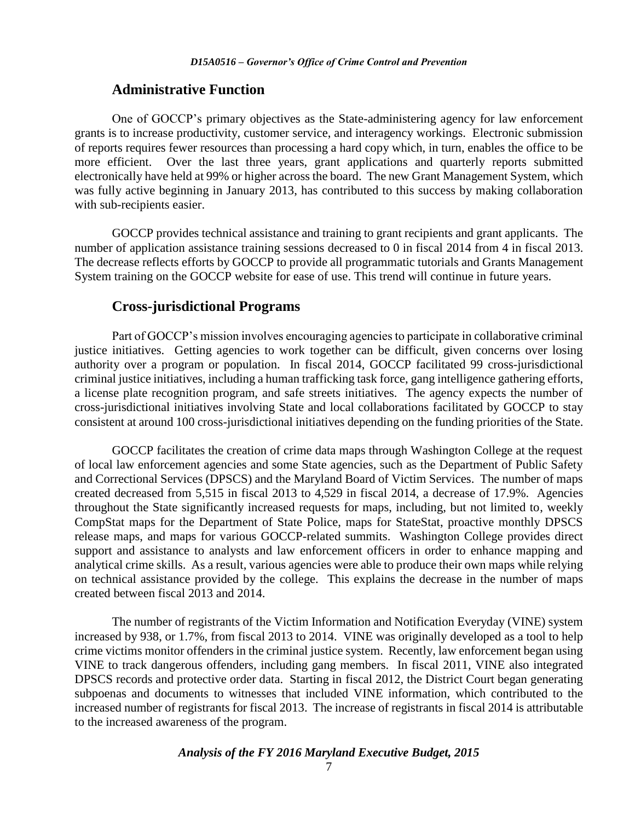#### **Administrative Function**

One of GOCCP's primary objectives as the State-administering agency for law enforcement grants is to increase productivity, customer service, and interagency workings. Electronic submission of reports requires fewer resources than processing a hard copy which, in turn, enables the office to be more efficient. Over the last three years, grant applications and quarterly reports submitted electronically have held at 99% or higher across the board. The new Grant Management System, which was fully active beginning in January 2013, has contributed to this success by making collaboration with sub-recipients easier.

GOCCP provides technical assistance and training to grant recipients and grant applicants. The number of application assistance training sessions decreased to 0 in fiscal 2014 from 4 in fiscal 2013. The decrease reflects efforts by GOCCP to provide all programmatic tutorials and Grants Management System training on the GOCCP website for ease of use. This trend will continue in future years.

#### **Cross-jurisdictional Programs**

Part of GOCCP's mission involves encouraging agencies to participate in collaborative criminal justice initiatives. Getting agencies to work together can be difficult, given concerns over losing authority over a program or population. In fiscal 2014, GOCCP facilitated 99 cross-jurisdictional criminal justice initiatives, including a human trafficking task force, gang intelligence gathering efforts, a license plate recognition program, and safe streets initiatives. The agency expects the number of cross-jurisdictional initiatives involving State and local collaborations facilitated by GOCCP to stay consistent at around 100 cross-jurisdictional initiatives depending on the funding priorities of the State.

GOCCP facilitates the creation of crime data maps through Washington College at the request of local law enforcement agencies and some State agencies, such as the Department of Public Safety and Correctional Services (DPSCS) and the Maryland Board of Victim Services. The number of maps created decreased from 5,515 in fiscal 2013 to 4,529 in fiscal 2014, a decrease of 17.9%. Agencies throughout the State significantly increased requests for maps, including, but not limited to, weekly CompStat maps for the Department of State Police, maps for StateStat, proactive monthly DPSCS release maps, and maps for various GOCCP-related summits. Washington College provides direct support and assistance to analysts and law enforcement officers in order to enhance mapping and analytical crime skills. As a result, various agencies were able to produce their own maps while relying on technical assistance provided by the college. This explains the decrease in the number of maps created between fiscal 2013 and 2014.

The number of registrants of the Victim Information and Notification Everyday (VINE) system increased by 938, or 1.7%, from fiscal 2013 to 2014. VINE was originally developed as a tool to help crime victims monitor offenders in the criminal justice system. Recently, law enforcement began using VINE to track dangerous offenders, including gang members. In fiscal 2011, VINE also integrated DPSCS records and protective order data. Starting in fiscal 2012, the District Court began generating subpoenas and documents to witnesses that included VINE information, which contributed to the increased number of registrants for fiscal 2013. The increase of registrants in fiscal 2014 is attributable to the increased awareness of the program.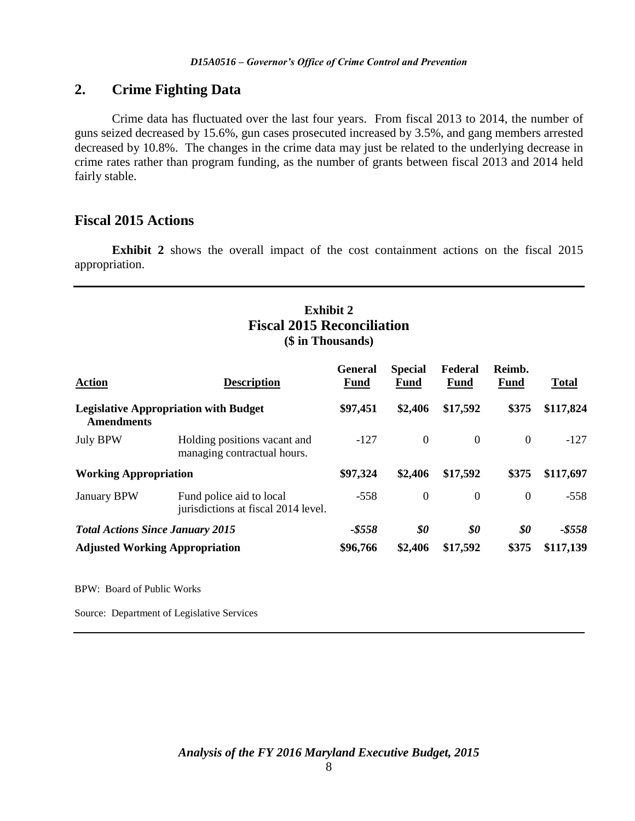## **2. Crime Fighting Data**

Crime data has fluctuated over the last four years. From fiscal 2013 to 2014, the number of guns seized decreased by 15.6%, gun cases prosecuted increased by 3.5%, and gang members arrested decreased by 10.8%. The changes in the crime data may just be related to the underlying decrease in crime rates rather than program funding, as the number of grants between fiscal 2013 and 2014 held fairly stable.

## **Fiscal 2015 Actions**

**Exhibit 2** shows the overall impact of the cost containment actions on the fiscal 2015 appropriation.

## **Exhibit 2 Fiscal 2015 Reconciliation (\$ in Thousands)**

| <b>Action</b>                                                     | <b>Description</b>                                              | <b>General</b><br><b>Fund</b> | <b>Special</b><br><b>Fund</b> | Federal<br><b>Fund</b> | Reimb.<br><b>Fund</b> | <b>Total</b> |
|-------------------------------------------------------------------|-----------------------------------------------------------------|-------------------------------|-------------------------------|------------------------|-----------------------|--------------|
| <b>Legislative Appropriation with Budget</b><br><b>Amendments</b> |                                                                 | \$97,451                      | \$2,406                       | \$17,592               | \$375                 | \$117,824    |
| <b>July BPW</b>                                                   | Holding positions vacant and<br>managing contractual hours.     | $-127$                        | $\theta$                      | $\mathbf{0}$           | $\theta$              | $-127$       |
| <b>Working Appropriation</b>                                      |                                                                 | \$97,324                      | \$2,406                       | \$17,592               | \$375                 | \$117,697    |
| <b>January BPW</b>                                                | Fund police aid to local<br>jurisdictions at fiscal 2014 level. | $-558$                        | $\Omega$                      | $\overline{0}$         | $\Omega$              | $-558$       |
| <b>Total Actions Since January 2015</b>                           |                                                                 | $-$ \$558                     | \$0                           | \$0                    | \$0                   | $-$ \$558    |
| <b>Adjusted Working Appropriation</b>                             |                                                                 | \$96,766                      | \$2,406                       | \$17,592               | \$375                 | \$117,139    |

BPW: Board of Public Works

Source: Department of Legislative Services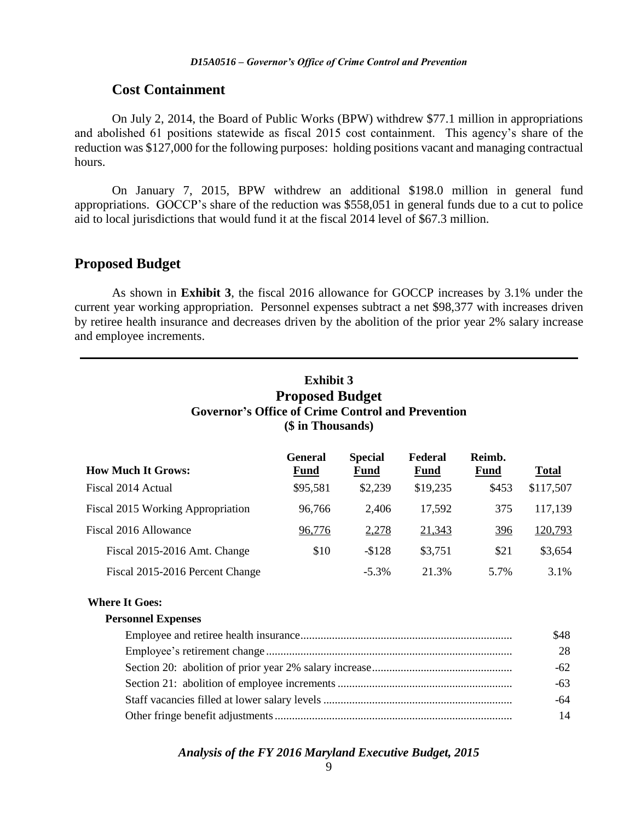#### **Cost Containment**

On July 2, 2014, the Board of Public Works (BPW) withdrew \$77.1 million in appropriations and abolished 61 positions statewide as fiscal 2015 cost containment. This agency's share of the reduction was \$127,000 for the following purposes: holding positions vacant and managing contractual hours.

On January 7, 2015, BPW withdrew an additional \$198.0 million in general fund appropriations. GOCCP's share of the reduction was \$558,051 in general funds due to a cut to police aid to local jurisdictions that would fund it at the fiscal 2014 level of \$67.3 million.

## **Proposed Budget**

As shown in **Exhibit 3**, the fiscal 2016 allowance for GOCCP increases by 3.1% under the current year working appropriation. Personnel expenses subtract a net \$98,377 with increases driven by retiree health insurance and decreases driven by the abolition of the prior year 2% salary increase and employee increments.

| <b>Exhibit 3</b>                                  |
|---------------------------------------------------|
| <b>Proposed Budget</b>                            |
| Governor's Office of Crime Control and Prevention |
| (\$ in Thousands)                                 |

| <b>How Much It Grows:</b>         | <b>General</b><br><b>Fund</b> | <b>Special</b><br><b>Fund</b> | Federal<br><b>Fund</b> | Reimb.<br><b>Fund</b> | <b>Total</b> |
|-----------------------------------|-------------------------------|-------------------------------|------------------------|-----------------------|--------------|
| Fiscal 2014 Actual                | \$95,581                      | \$2,239                       | \$19,235               | \$453                 | \$117,507    |
| Fiscal 2015 Working Appropriation | 96,766                        | 2,406                         | 17,592                 | 375                   | 117,139      |
| Fiscal 2016 Allowance             | 96,776                        | 2,278                         | 21,343                 | 396                   | 120,793      |
| Fiscal 2015-2016 Amt. Change      | \$10                          | $-$128$                       | \$3,751                | \$21                  | \$3,654      |
| Fiscal 2015-2016 Percent Change   |                               | $-5.3\%$                      | 21.3%                  | 5.7%                  | 3.1%         |

#### **Where It Goes:**

#### **Personnel Expenses**

| \$48  |
|-------|
| 28    |
| $-62$ |
| $-63$ |
| $-64$ |
| 14    |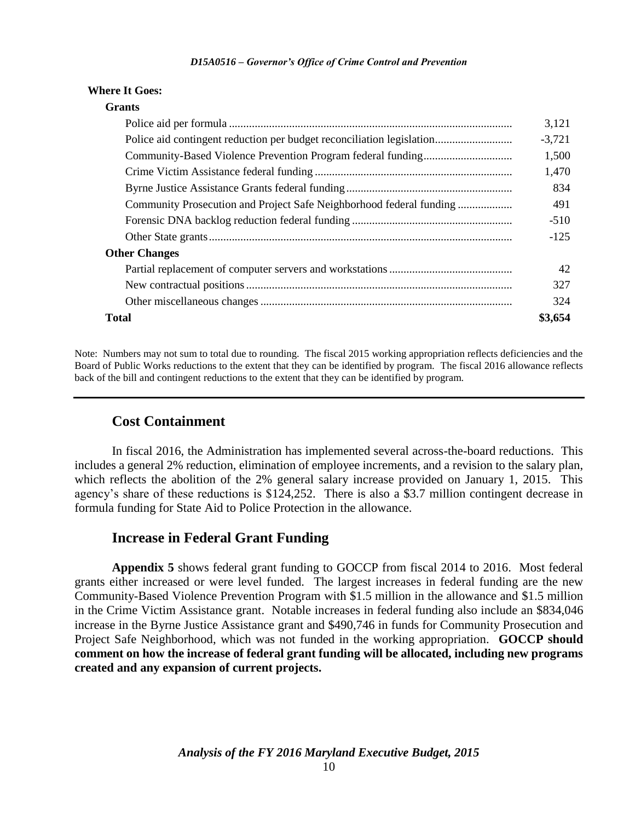#### **Where It Goes:**

| <b>Grants</b>                                                         |          |
|-----------------------------------------------------------------------|----------|
|                                                                       | 3,121    |
| Police aid contingent reduction per budget reconciliation legislation | $-3,721$ |
|                                                                       | 1,500    |
|                                                                       | 1,470    |
|                                                                       | 834      |
| Community Prosecution and Project Safe Neighborhood federal funding   | 491      |
|                                                                       | $-510$   |
|                                                                       | $-125$   |
| <b>Other Changes</b>                                                  |          |
|                                                                       | 42       |
|                                                                       | 327      |
|                                                                       | 324      |
| <b>Total</b>                                                          | \$3.654  |

Note: Numbers may not sum to total due to rounding. The fiscal 2015 working appropriation reflects deficiencies and the Board of Public Works reductions to the extent that they can be identified by program. The fiscal 2016 allowance reflects back of the bill and contingent reductions to the extent that they can be identified by program.

## **Cost Containment**

In fiscal 2016, the Administration has implemented several across-the-board reductions. This includes a general 2% reduction, elimination of employee increments, and a revision to the salary plan, which reflects the abolition of the 2% general salary increase provided on January 1, 2015. This agency's share of these reductions is \$124,252. There is also a \$3.7 million contingent decrease in formula funding for State Aid to Police Protection in the allowance.

## **Increase in Federal Grant Funding**

**Appendix 5** shows federal grant funding to GOCCP from fiscal 2014 to 2016. Most federal grants either increased or were level funded. The largest increases in federal funding are the new Community-Based Violence Prevention Program with \$1.5 million in the allowance and \$1.5 million in the Crime Victim Assistance grant. Notable increases in federal funding also include an \$834,046 increase in the Byrne Justice Assistance grant and \$490,746 in funds for Community Prosecution and Project Safe Neighborhood, which was not funded in the working appropriation. **GOCCP should comment on how the increase of federal grant funding will be allocated, including new programs created and any expansion of current projects.**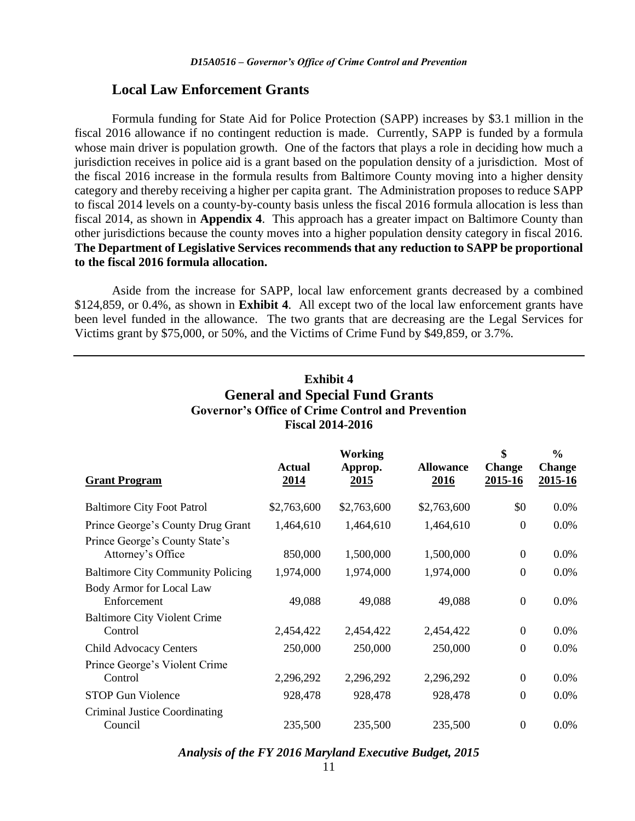#### **Local Law Enforcement Grants**

Formula funding for State Aid for Police Protection (SAPP) increases by \$3.1 million in the fiscal 2016 allowance if no contingent reduction is made. Currently, SAPP is funded by a formula whose main driver is population growth. One of the factors that plays a role in deciding how much a jurisdiction receives in police aid is a grant based on the population density of a jurisdiction. Most of the fiscal 2016 increase in the formula results from Baltimore County moving into a higher density category and thereby receiving a higher per capita grant. The Administration proposes to reduce SAPP to fiscal 2014 levels on a county-by-county basis unless the fiscal 2016 formula allocation is less than fiscal 2014, as shown in **Appendix 4**. This approach has a greater impact on Baltimore County than other jurisdictions because the county moves into a higher population density category in fiscal 2016. **The Department of Legislative Services recommends that any reduction to SAPP be proportional to the fiscal 2016 formula allocation.**

Aside from the increase for SAPP, local law enforcement grants decreased by a combined \$124,859, or 0.4%, as shown in **Exhibit 4**. All except two of the local law enforcement grants have been level funded in the allowance. The two grants that are decreasing are the Legal Services for Victims grant by \$75,000, or 50%, and the Victims of Crime Fund by \$49,859, or 3.7%.

| FISCAI 2014-2010                                    |                       |                                   |                                 |                                |                                           |  |
|-----------------------------------------------------|-----------------------|-----------------------------------|---------------------------------|--------------------------------|-------------------------------------------|--|
| <b>Grant Program</b>                                | <b>Actual</b><br>2014 | <b>Working</b><br>Approp.<br>2015 | <b>Allowance</b><br><u>2016</u> | \$<br><b>Change</b><br>2015-16 | $\frac{0}{0}$<br><b>Change</b><br>2015-16 |  |
| <b>Baltimore City Foot Patrol</b>                   | \$2,763,600           | \$2,763,600                       | \$2,763,600                     | \$0                            | 0.0%                                      |  |
| Prince George's County Drug Grant                   | 1,464,610             | 1,464,610                         | 1,464,610                       | $\boldsymbol{0}$               | 0.0%                                      |  |
| Prince George's County State's<br>Attorney's Office | 850,000               | 1,500,000                         | 1,500,000                       | $\boldsymbol{0}$               | $0.0\%$                                   |  |
| <b>Baltimore City Community Policing</b>            | 1,974,000             | 1,974,000                         | 1,974,000                       | $\boldsymbol{0}$               | 0.0%                                      |  |
| Body Armor for Local Law<br>Enforcement             | 49,088                | 49,088                            | 49,088                          | $\boldsymbol{0}$               | 0.0%                                      |  |
| <b>Baltimore City Violent Crime</b><br>Control      | 2,454,422             | 2,454,422                         | 2,454,422                       | $\boldsymbol{0}$               | 0.0%                                      |  |
| <b>Child Advocacy Centers</b>                       | 250,000               | 250,000                           | 250,000                         | $\boldsymbol{0}$               | 0.0%                                      |  |
| Prince George's Violent Crime<br>Control            | 2,296,292             | 2,296,292                         | 2,296,292                       | $\boldsymbol{0}$               | 0.0%                                      |  |
| <b>STOP Gun Violence</b>                            | 928,478               | 928,478                           | 928,478                         | $\boldsymbol{0}$               | 0.0%                                      |  |
| <b>Criminal Justice Coordinating</b><br>Council     | 235,500               | 235,500                           | 235,500                         | $\boldsymbol{0}$               | 0.0%                                      |  |

#### **Exhibit 4 General and Special Fund Grants Governor's Office of Crime Control and Prevention Fiscal 2014-2016**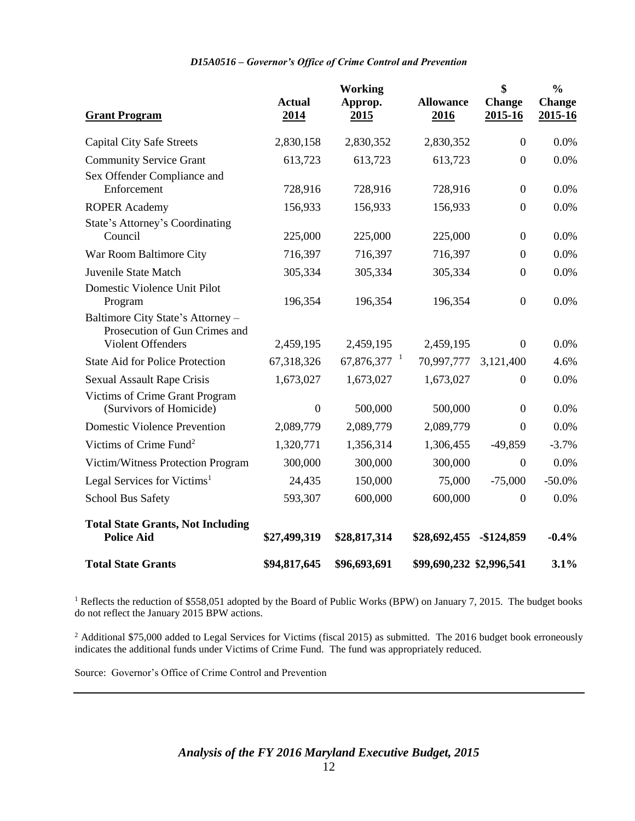|                                                                    |                       | <b>Working</b>            |                          | \$                       | $\frac{0}{0}$            |
|--------------------------------------------------------------------|-----------------------|---------------------------|--------------------------|--------------------------|--------------------------|
| <b>Grant Program</b>                                               | <b>Actual</b><br>2014 | Approp.<br>2015           | <b>Allowance</b><br>2016 | <b>Change</b><br>2015-16 | <b>Change</b><br>2015-16 |
|                                                                    |                       |                           |                          |                          |                          |
| <b>Capital City Safe Streets</b>                                   | 2,830,158             | 2,830,352                 | 2,830,352                | $\boldsymbol{0}$         | 0.0%                     |
| <b>Community Service Grant</b>                                     | 613,723               | 613,723                   | 613,723                  | $\boldsymbol{0}$         | 0.0%                     |
| Sex Offender Compliance and<br>Enforcement                         | 728,916               | 728,916                   | 728,916                  | $\boldsymbol{0}$         | 0.0%                     |
| <b>ROPER Academy</b>                                               | 156,933               | 156,933                   | 156,933                  | $\boldsymbol{0}$         | 0.0%                     |
| State's Attorney's Coordinating                                    |                       |                           |                          |                          |                          |
| Council                                                            | 225,000               | 225,000                   | 225,000                  | $\boldsymbol{0}$         | 0.0%                     |
| War Room Baltimore City                                            | 716,397               | 716,397                   | 716,397                  | $\boldsymbol{0}$         | 0.0%                     |
| Juvenile State Match                                               | 305,334               | 305,334                   | 305,334                  | $\overline{0}$           | 0.0%                     |
| Domestic Violence Unit Pilot<br>Program                            | 196,354               | 196,354                   | 196,354                  | $\boldsymbol{0}$         | 0.0%                     |
| Baltimore City State's Attorney -<br>Prosecution of Gun Crimes and |                       |                           |                          |                          |                          |
| Violent Offenders                                                  | 2,459,195             | 2,459,195                 | 2,459,195                | $\boldsymbol{0}$         | 0.0%                     |
| <b>State Aid for Police Protection</b>                             | 67,318,326            | $67,876,377$ <sup>1</sup> | 70,997,777               | 3,121,400                | 4.6%                     |
| <b>Sexual Assault Rape Crisis</b>                                  | 1,673,027             | 1,673,027                 | 1,673,027                | $\boldsymbol{0}$         | 0.0%                     |
| Victims of Crime Grant Program<br>(Survivors of Homicide)          | $\boldsymbol{0}$      | 500,000                   | 500,000                  | $\boldsymbol{0}$         | 0.0%                     |
| <b>Domestic Violence Prevention</b>                                | 2,089,779             | 2,089,779                 | 2,089,779                | $\boldsymbol{0}$         | 0.0%                     |
| Victims of Crime Fund <sup>2</sup>                                 | 1,320,771             | 1,356,314                 | 1,306,455                | $-49,859$                | $-3.7%$                  |
| Victim/Witness Protection Program                                  | 300,000               | 300,000                   | 300,000                  | $\boldsymbol{0}$         | 0.0%                     |
| Legal Services for Victims <sup>1</sup>                            | 24,435                | 150,000                   | 75,000                   | $-75,000$                | $-50.0\%$                |
| <b>School Bus Safety</b>                                           | 593,307               | 600,000                   | 600,000                  | $\boldsymbol{0}$         | 0.0%                     |
| <b>Total State Grants, Not Including</b><br><b>Police Aid</b>      | \$27,499,319          | \$28,817,314              | \$28,692,455             | $-$124,859$              | $-0.4%$                  |
| <b>Total State Grants</b>                                          | \$94,817,645          | \$96,693,691              | \$99,690,232 \$2,996,541 |                          | 3.1%                     |

<sup>1</sup> Reflects the reduction of \$558,051 adopted by the Board of Public Works (BPW) on January 7, 2015. The budget books do not reflect the January 2015 BPW actions.

<sup>2</sup> Additional \$75,000 added to Legal Services for Victims (fiscal 2015) as submitted. The 2016 budget book erroneously indicates the additional funds under Victims of Crime Fund. The fund was appropriately reduced.

Source: Governor's Office of Crime Control and Prevention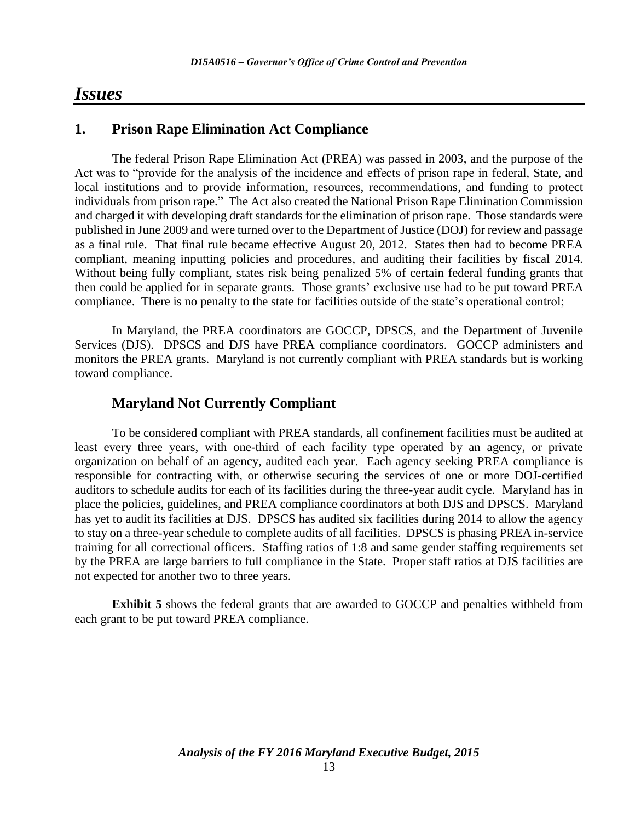## *Issues*

## **1. Prison Rape Elimination Act Compliance**

The federal Prison Rape Elimination Act (PREA) was passed in 2003, and the purpose of the Act was to "provide for the analysis of the incidence and effects of prison rape in federal, State, and local institutions and to provide information, resources, recommendations, and funding to protect individuals from prison rape." The Act also created the National Prison Rape Elimination Commission and charged it with developing draft standards for the elimination of prison rape. Those standards were published in June 2009 and were turned over to the Department of Justice (DOJ) for review and passage as a final rule. That final rule became effective August 20, 2012. States then had to become PREA compliant, meaning inputting policies and procedures, and auditing their facilities by fiscal 2014. Without being fully compliant, states risk being penalized 5% of certain federal funding grants that then could be applied for in separate grants. Those grants' exclusive use had to be put toward PREA compliance. There is no penalty to the state for facilities outside of the state's operational control;

In Maryland, the PREA coordinators are GOCCP, DPSCS, and the Department of Juvenile Services (DJS). DPSCS and DJS have PREA compliance coordinators. GOCCP administers and monitors the PREA grants. Maryland is not currently compliant with PREA standards but is working toward compliance.

## **Maryland Not Currently Compliant**

To be considered compliant with PREA standards, all confinement facilities must be audited at least every three years, with one-third of each facility type operated by an agency, or private organization on behalf of an agency, audited each year. Each agency seeking PREA compliance is responsible for contracting with, or otherwise securing the services of one or more DOJ-certified auditors to schedule audits for each of its facilities during the three-year audit cycle. Maryland has in place the policies, guidelines, and PREA compliance coordinators at both DJS and DPSCS. Maryland has yet to audit its facilities at DJS. DPSCS has audited six facilities during 2014 to allow the agency to stay on a three-year schedule to complete audits of all facilities. DPSCS is phasing PREA in-service training for all correctional officers. Staffing ratios of 1:8 and same gender staffing requirements set by the PREA are large barriers to full compliance in the State. Proper staff ratios at DJS facilities are not expected for another two to three years.

**Exhibit 5** shows the federal grants that are awarded to GOCCP and penalties withheld from each grant to be put toward PREA compliance.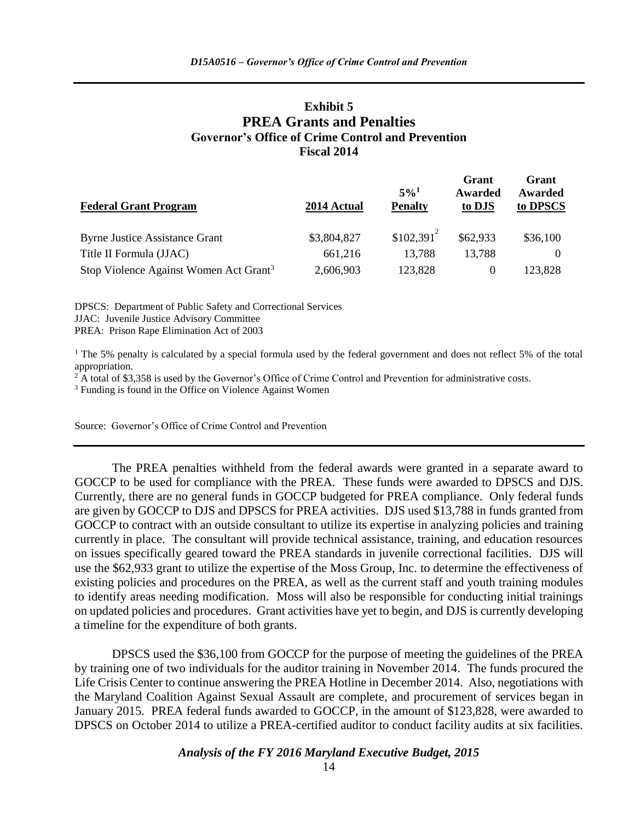## **Exhibit 5 PREA Grants and Penalties Governor's Office of Crime Control and Prevention Fiscal 2014**

| <b>Federal Grant Program</b>                       | 2014 Actual | $5\%$ <sup>1</sup><br><b>Penalty</b> | Grant<br>Awarded<br>to DJS | Grant<br>Awarded<br>to DPSCS |
|----------------------------------------------------|-------------|--------------------------------------|----------------------------|------------------------------|
| <b>Byrne Justice Assistance Grant</b>              | \$3,804,827 | $$102,391^2$                         | \$62,933                   | \$36,100                     |
| Title II Formula (JJAC)                            | 661,216     | 13,788                               | 13,788                     |                              |
| Stop Violence Against Women Act Grant <sup>3</sup> | 2,606,903   | 123,828                              | $\theta$                   | 123,828                      |

DPSCS: Department of Public Safety and Correctional Services JJAC: Juvenile Justice Advisory Committee PREA: Prison Rape Elimination Act of 2003

<sup>1</sup> The 5% penalty is calculated by a special formula used by the federal government and does not reflect 5% of the total appropriation.

<sup>2</sup> A total of \$3,358 is used by the Governor's Office of Crime Control and Prevention for administrative costs.

<sup>3</sup> Funding is found in the Office on Violence Against Women

Source: Governor's Office of Crime Control and Prevention

The PREA penalties withheld from the federal awards were granted in a separate award to GOCCP to be used for compliance with the PREA. These funds were awarded to DPSCS and DJS. Currently, there are no general funds in GOCCP budgeted for PREA compliance. Only federal funds are given by GOCCP to DJS and DPSCS for PREA activities. DJS used \$13,788 in funds granted from GOCCP to contract with an outside consultant to utilize its expertise in analyzing policies and training currently in place. The consultant will provide technical assistance, training, and education resources on issues specifically geared toward the PREA standards in juvenile correctional facilities. DJS will use the \$62,933 grant to utilize the expertise of the Moss Group, Inc. to determine the effectiveness of existing policies and procedures on the PREA, as well as the current staff and youth training modules to identify areas needing modification. Moss will also be responsible for conducting initial trainings on updated policies and procedures. Grant activities have yet to begin, and DJS is currently developing a timeline for the expenditure of both grants.

DPSCS used the \$36,100 from GOCCP for the purpose of meeting the guidelines of the PREA by training one of two individuals for the auditor training in November 2014. The funds procured the Life Crisis Center to continue answering the PREA Hotline in December 2014. Also, negotiations with the Maryland Coalition Against Sexual Assault are complete, and procurement of services began in January 2015. PREA federal funds awarded to GOCCP, in the amount of \$123,828, were awarded to DPSCS on October 2014 to utilize a PREA-certified auditor to conduct facility audits at six facilities.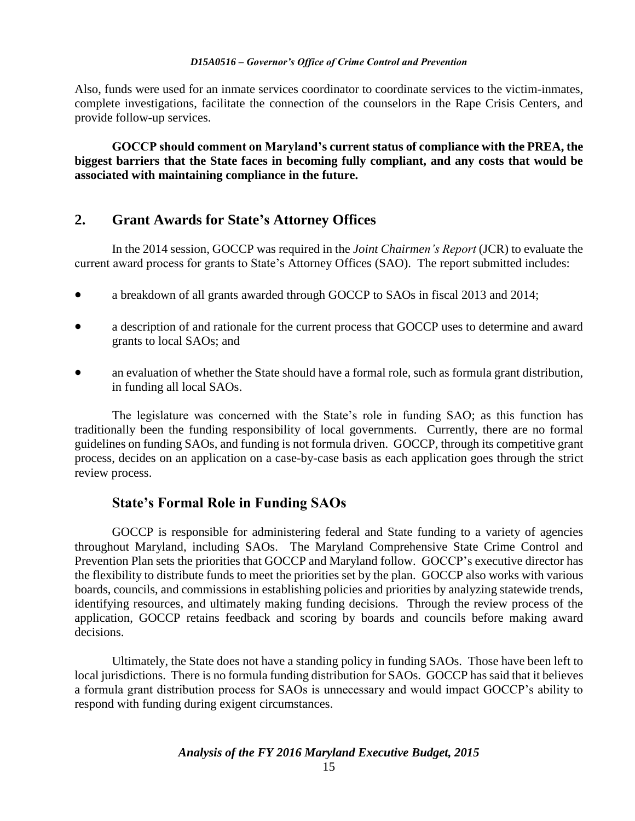Also, funds were used for an inmate services coordinator to coordinate services to the victim-inmates, complete investigations, facilitate the connection of the counselors in the Rape Crisis Centers, and provide follow-up services.

**GOCCP should comment on Maryland's current status of compliance with the PREA, the biggest barriers that the State faces in becoming fully compliant, and any costs that would be associated with maintaining compliance in the future.**

## **2. Grant Awards for State's Attorney Offices**

In the 2014 session, GOCCP was required in the *Joint Chairmen's Report* (JCR) to evaluate the current award process for grants to State's Attorney Offices (SAO). The report submitted includes:

- a breakdown of all grants awarded through GOCCP to SAOs in fiscal 2013 and 2014;
- a description of and rationale for the current process that GOCCP uses to determine and award grants to local SAOs; and
- an evaluation of whether the State should have a formal role, such as formula grant distribution, in funding all local SAOs.

The legislature was concerned with the State's role in funding SAO; as this function has traditionally been the funding responsibility of local governments. Currently, there are no formal guidelines on funding SAOs, and funding is not formula driven. GOCCP, through its competitive grant process, decides on an application on a case-by-case basis as each application goes through the strict review process.

## **State's Formal Role in Funding SAOs**

GOCCP is responsible for administering federal and State funding to a variety of agencies throughout Maryland, including SAOs. The Maryland Comprehensive State Crime Control and Prevention Plan sets the priorities that GOCCP and Maryland follow. GOCCP's executive director has the flexibility to distribute funds to meet the priorities set by the plan. GOCCP also works with various boards, councils, and commissions in establishing policies and priorities by analyzing statewide trends, identifying resources, and ultimately making funding decisions. Through the review process of the application, GOCCP retains feedback and scoring by boards and councils before making award decisions.

Ultimately, the State does not have a standing policy in funding SAOs. Those have been left to local jurisdictions. There is no formula funding distribution for SAOs. GOCCP has said that it believes a formula grant distribution process for SAOs is unnecessary and would impact GOCCP's ability to respond with funding during exigent circumstances.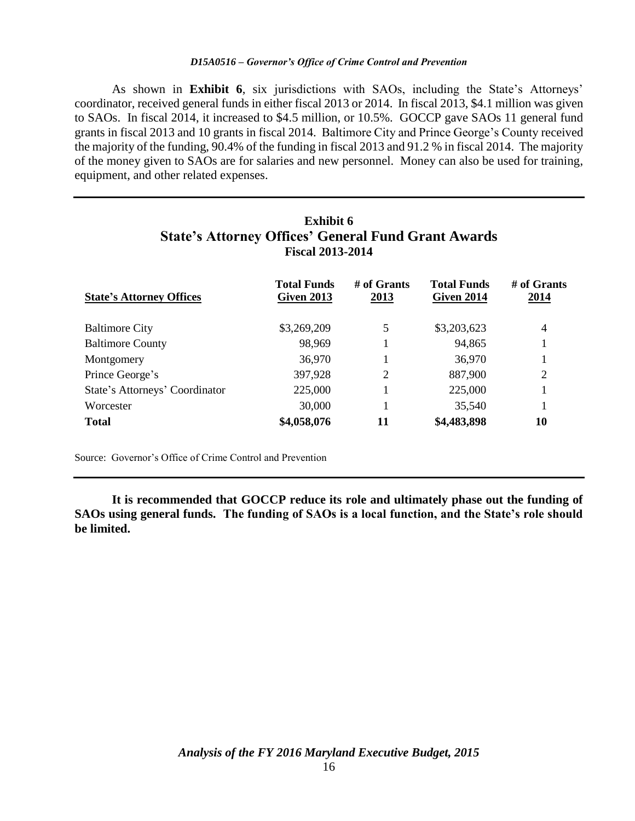As shown in **Exhibit 6**, six jurisdictions with SAOs, including the State's Attorneys' coordinator, received general funds in either fiscal 2013 or 2014. In fiscal 2013, \$4.1 million was given to SAOs. In fiscal 2014, it increased to \$4.5 million, or 10.5%. GOCCP gave SAOs 11 general fund grants in fiscal 2013 and 10 grants in fiscal 2014. Baltimore City and Prince George's County received the majority of the funding, 90.4% of the funding in fiscal 2013 and 91.2 % in fiscal 2014. The majority of the money given to SAOs are for salaries and new personnel. Money can also be used for training, equipment, and other related expenses.

| <b>State's Attorney Offices' General Fund Grant Awards</b><br><b>Fiscal 2013-2014</b> |                                         |                     |                                  |                       |  |  |  |
|---------------------------------------------------------------------------------------|-----------------------------------------|---------------------|----------------------------------|-----------------------|--|--|--|
| <b>State's Attorney Offices</b>                                                       | <b>Total Funds</b><br><b>Given 2013</b> | # of Grants<br>2013 | <b>Total Funds</b><br>Given 2014 | $#$ of Grants<br>2014 |  |  |  |
| <b>Baltimore City</b>                                                                 | \$3,269,209                             | 5                   | \$3,203,623                      | $\overline{4}$        |  |  |  |
| <b>Baltimore County</b>                                                               | 98,969                                  |                     | 94,865                           |                       |  |  |  |
| Montgomery                                                                            | 36,970                                  |                     | 36,970                           |                       |  |  |  |
| Prince George's                                                                       | 397,928                                 | 2                   | 887,900                          | 2                     |  |  |  |
| State's Attorneys' Coordinator                                                        | 225,000                                 |                     | 225,000                          |                       |  |  |  |
| Worcester                                                                             | 30,000                                  |                     | 35,540                           |                       |  |  |  |
| <b>Total</b>                                                                          | \$4,058,076                             | 11                  | \$4,483,898                      | 10                    |  |  |  |

# **Exhibit 6**

Source: Governor's Office of Crime Control and Prevention

**It is recommended that GOCCP reduce its role and ultimately phase out the funding of SAOs using general funds. The funding of SAOs is a local function, and the State's role should be limited.**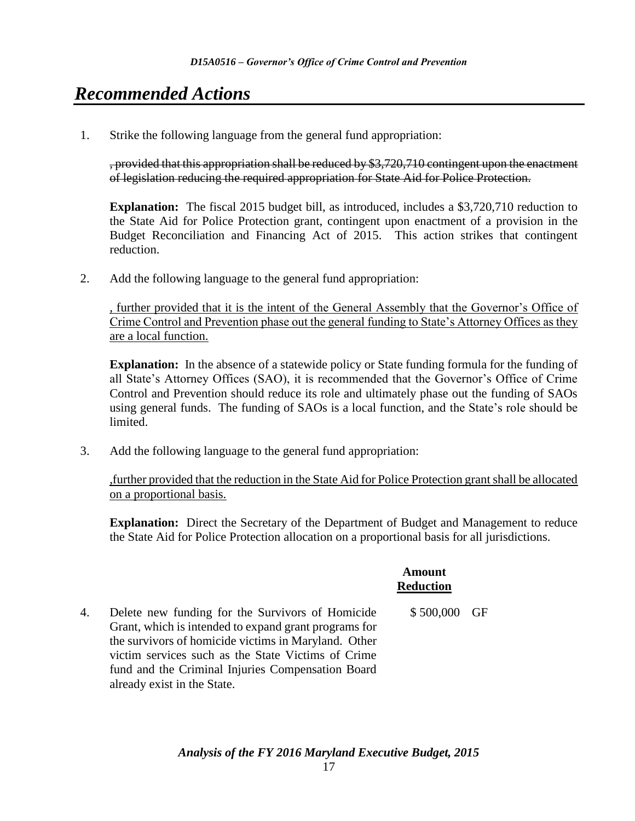## *Recommended Actions*

1. Strike the following language from the general fund appropriation:

, provided that this appropriation shall be reduced by \$3,720,710 contingent upon the enactment of legislation reducing the required appropriation for State Aid for Police Protection.

**Explanation:** The fiscal 2015 budget bill, as introduced, includes a \$3,720,710 reduction to the State Aid for Police Protection grant, contingent upon enactment of a provision in the Budget Reconciliation and Financing Act of 2015. This action strikes that contingent reduction.

2. Add the following language to the general fund appropriation:

, further provided that it is the intent of the General Assembly that the Governor's Office of Crime Control and Prevention phase out the general funding to State's Attorney Offices as they are a local function.

**Explanation:** In the absence of a statewide policy or State funding formula for the funding of all State's Attorney Offices (SAO), it is recommended that the Governor's Office of Crime Control and Prevention should reduce its role and ultimately phase out the funding of SAOs using general funds. The funding of SAOs is a local function, and the State's role should be limited.

3. Add the following language to the general fund appropriation:

,further provided that the reduction in the State Aid for Police Protection grant shall be allocated on a proportional basis.

**Explanation:** Direct the Secretary of the Department of Budget and Management to reduce the State Aid for Police Protection allocation on a proportional basis for all jurisdictions.

 $GF$ 

|    |                                                                                                                                                                                                                                                                                                             | Amount<br><b>Reduction</b> |
|----|-------------------------------------------------------------------------------------------------------------------------------------------------------------------------------------------------------------------------------------------------------------------------------------------------------------|----------------------------|
| 4. | Delete new funding for the Survivors of Homicide<br>Grant, which is intended to expand grant programs for<br>the survivors of homicide victims in Maryland. Other<br>victim services such as the State Victims of Crime<br>fund and the Criminal Injuries Compensation Board<br>already exist in the State. | \$500,000                  |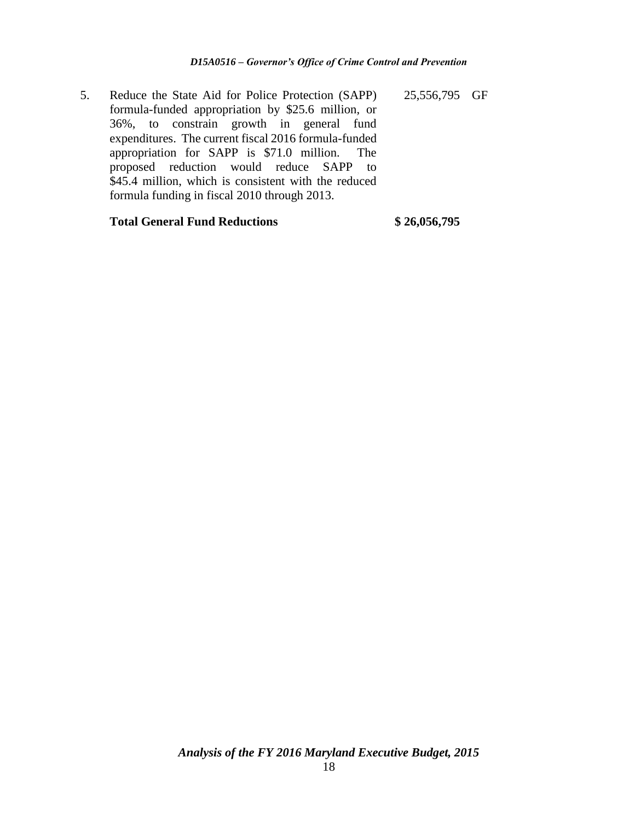5. Reduce the State Aid for Police Protection (SAPP) formula-funded appropriation by \$25.6 million, or 36%, to constrain growth in general fund expenditures. The current fiscal 2016 formula-funded appropriation for SAPP is \$71.0 million. The proposed reduction would reduce SAPP to \$45.4 million, which is consistent with the reduced formula funding in fiscal 2010 through 2013. 25,556,795 GF

#### **Total General Fund Reductions \$ 26,056,795**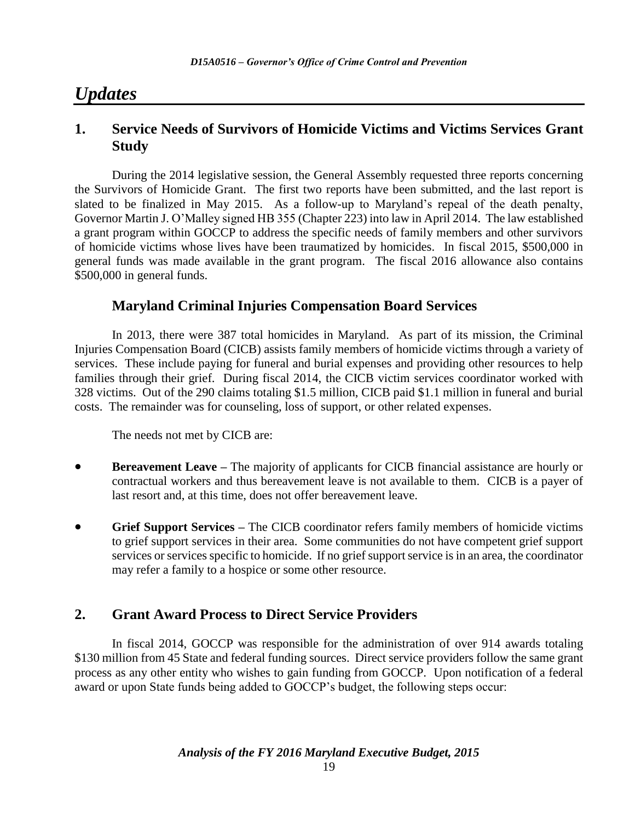## *Updates*

## **1. Service Needs of Survivors of Homicide Victims and Victims Services Grant Study**

During the 2014 legislative session, the General Assembly requested three reports concerning the Survivors of Homicide Grant. The first two reports have been submitted, and the last report is slated to be finalized in May 2015. As a follow-up to Maryland's repeal of the death penalty, Governor Martin J. O'Malley signed HB 355 (Chapter 223) into law in April 2014. The law established a grant program within GOCCP to address the specific needs of family members and other survivors of homicide victims whose lives have been traumatized by homicides. In fiscal 2015, \$500,000 in general funds was made available in the grant program. The fiscal 2016 allowance also contains \$500,000 in general funds.

## **Maryland Criminal Injuries Compensation Board Services**

In 2013, there were 387 total homicides in Maryland. As part of its mission, the Criminal Injuries Compensation Board (CICB) assists family members of homicide victims through a variety of services. These include paying for funeral and burial expenses and providing other resources to help families through their grief. During fiscal 2014, the CICB victim services coordinator worked with 328 victims. Out of the 290 claims totaling \$1.5 million, CICB paid \$1.1 million in funeral and burial costs. The remainder was for counseling, loss of support, or other related expenses.

The needs not met by CICB are:

- **Bereavement Leave –** The majority of applicants for CICB financial assistance are hourly or contractual workers and thus bereavement leave is not available to them. CICB is a payer of last resort and, at this time, does not offer bereavement leave.
- **Grief Support Services –** The CICB coordinator refers family members of homicide victims to grief support services in their area. Some communities do not have competent grief support services or services specific to homicide. If no grief support service is in an area, the coordinator may refer a family to a hospice or some other resource.

## **2. Grant Award Process to Direct Service Providers**

In fiscal 2014, GOCCP was responsible for the administration of over 914 awards totaling \$130 million from 45 State and federal funding sources. Direct service providers follow the same grant process as any other entity who wishes to gain funding from GOCCP. Upon notification of a federal award or upon State funds being added to GOCCP's budget, the following steps occur: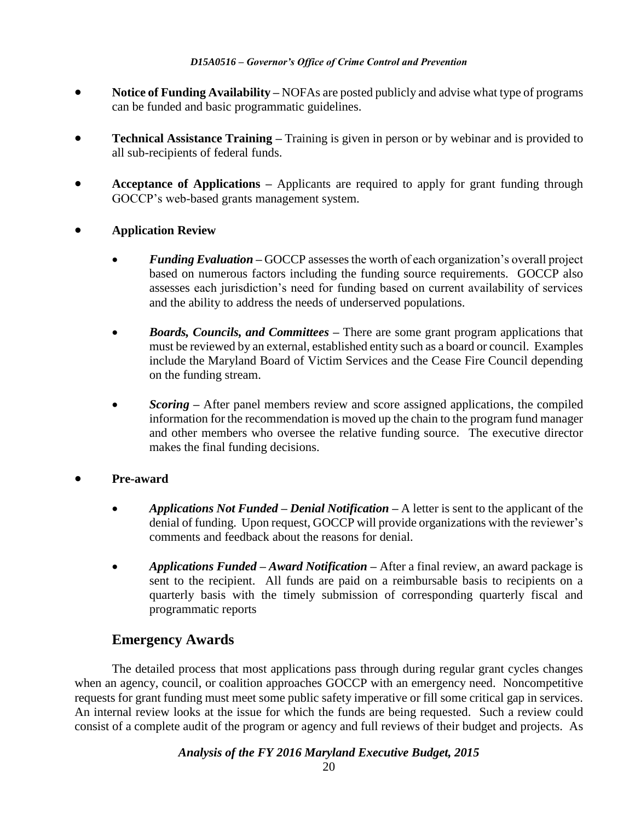- **Notice of Funding Availability –** NOFAs are posted publicly and advise what type of programs can be funded and basic programmatic guidelines.
- **Technical Assistance Training –** Training is given in person or by webinar and is provided to all sub-recipients of federal funds.
- **Acceptance of Applications –** Applicants are required to apply for grant funding through GOCCP's web-based grants management system.
- **Application Review**
	- *Funding Evaluation* GOCCP assesses the worth of each organization's overall project based on numerous factors including the funding source requirements. GOCCP also assesses each jurisdiction's need for funding based on current availability of services and the ability to address the needs of underserved populations.
	- *Boards, Councils, and Committees –* There are some grant program applications that must be reviewed by an external, established entity such as a board or council. Examples include the Maryland Board of Victim Services and the Cease Fire Council depending on the funding stream.
	- *Scoring* After panel members review and score assigned applications, the compiled information for the recommendation is moved up the chain to the program fund manager and other members who oversee the relative funding source. The executive director makes the final funding decisions.

### **Pre-award**

- *Applications Not Funded – Denial Notification –* A letter is sent to the applicant of the denial of funding. Upon request, GOCCP will provide organizations with the reviewer's comments and feedback about the reasons for denial.
- *Applications Funded – Award Notification –* After a final review, an award package is sent to the recipient. All funds are paid on a reimbursable basis to recipients on a quarterly basis with the timely submission of corresponding quarterly fiscal and programmatic reports

## **Emergency Awards**

The detailed process that most applications pass through during regular grant cycles changes when an agency, council, or coalition approaches GOCCP with an emergency need. Noncompetitive requests for grant funding must meet some public safety imperative or fill some critical gap in services. An internal review looks at the issue for which the funds are being requested. Such a review could consist of a complete audit of the program or agency and full reviews of their budget and projects. As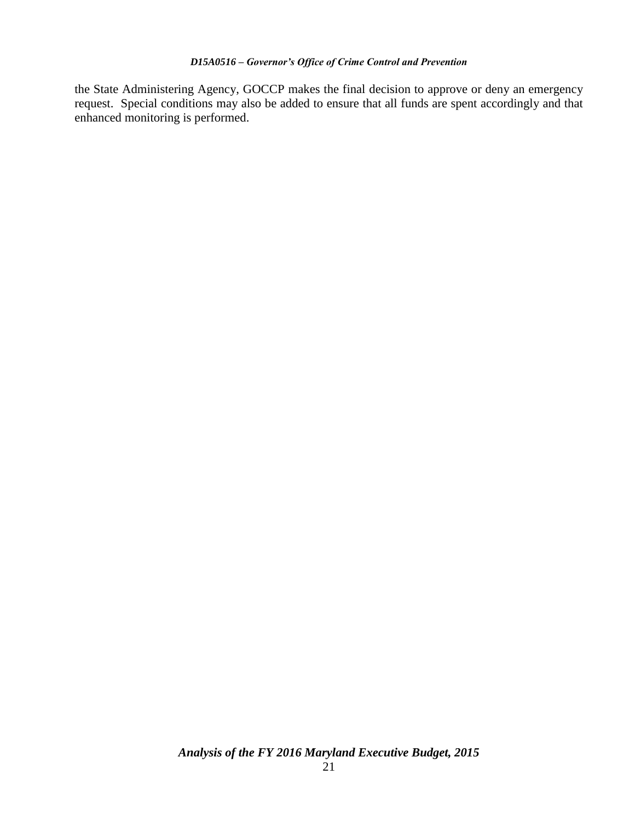the State Administering Agency, GOCCP makes the final decision to approve or deny an emergency request. Special conditions may also be added to ensure that all funds are spent accordingly and that enhanced monitoring is performed.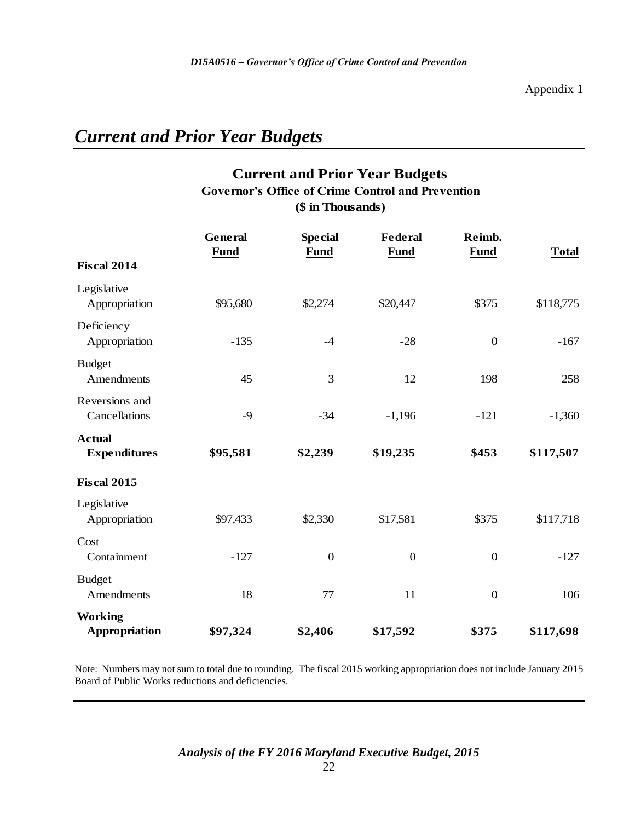## *Current and Prior Year Budgets*

## **Current and Prior Year Budgets (\$ in Thousands) Governor's Office of Crime Control and Prevention**

|                                      | General<br><b>Fund</b> | <b>Special</b><br><b>Fund</b> | Federal<br><b>Fund</b> | Reimb.<br><b>Fund</b> | <b>Total</b> |
|--------------------------------------|------------------------|-------------------------------|------------------------|-----------------------|--------------|
| <b>Fiscal 2014</b>                   |                        |                               |                        |                       |              |
| Legislative<br>Appropriation         | \$95,680               | \$2,274                       | \$20,447               | \$375                 | \$118,775    |
| Deficiency<br>Appropriation          | $-135$                 | $-4$                          | $-28$                  | $\mathbf{0}$          | $-167$       |
| <b>Budget</b><br>Amendments          | 45                     | 3                             | 12                     | 198                   | 258          |
| Reversions and<br>Cancellations      | $-9$                   | $-34$                         | $-1,196$               | $-121$                | $-1,360$     |
| <b>Actual</b><br><b>Expenditures</b> | \$95,581               | \$2,239                       | \$19,235               | \$453                 | \$117,507    |
| <b>Fiscal 2015</b>                   |                        |                               |                        |                       |              |
| Legislative<br>Appropriation         | \$97,433               | \$2,330                       | \$17,581               | \$375                 | \$117,718    |
| Cost<br>Containment                  | $-127$                 | $\boldsymbol{0}$              | $\boldsymbol{0}$       | $\boldsymbol{0}$      | $-127$       |
| <b>Budget</b><br>Amendments          | 18                     | 77                            | 11                     | $\mathbf{0}$          | 106          |
| <b>Working</b><br>Appropriation      | \$97,324               | \$2,406                       | \$17,592               | \$375                 | \$117,698    |

Note: Numbers may not sum to total due to rounding. The fiscal 2015 working appropriation does not include January 2015 Board of Public Works reductions and deficiencies.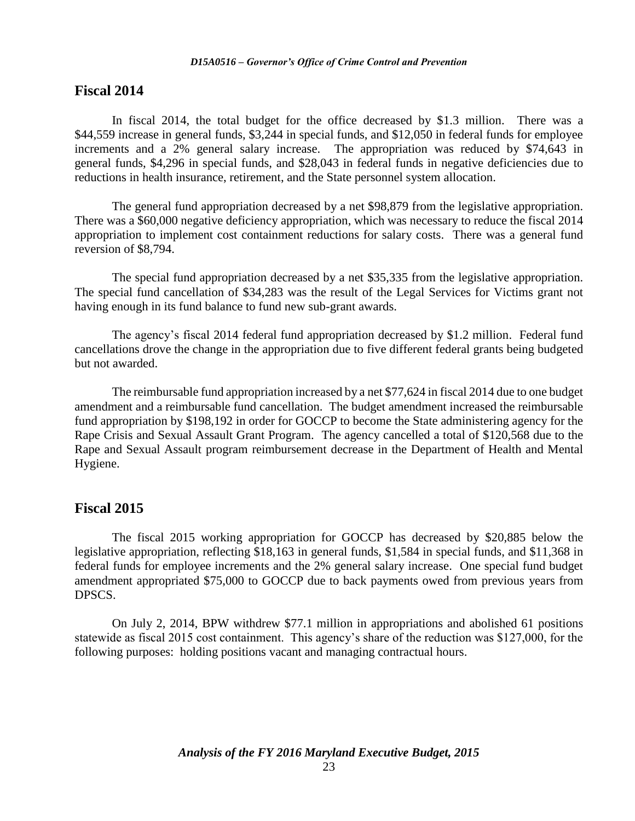#### **Fiscal 2014**

In fiscal 2014, the total budget for the office decreased by \$1.3 million. There was a \$44,559 increase in general funds, \$3,244 in special funds, and \$12,050 in federal funds for employee increments and a 2% general salary increase. The appropriation was reduced by \$74,643 in general funds, \$4,296 in special funds, and \$28,043 in federal funds in negative deficiencies due to reductions in health insurance, retirement, and the State personnel system allocation.

The general fund appropriation decreased by a net \$98,879 from the legislative appropriation. There was a \$60,000 negative deficiency appropriation, which was necessary to reduce the fiscal 2014 appropriation to implement cost containment reductions for salary costs. There was a general fund reversion of \$8,794.

The special fund appropriation decreased by a net \$35,335 from the legislative appropriation. The special fund cancellation of \$34,283 was the result of the Legal Services for Victims grant not having enough in its fund balance to fund new sub-grant awards.

The agency's fiscal 2014 federal fund appropriation decreased by \$1.2 million. Federal fund cancellations drove the change in the appropriation due to five different federal grants being budgeted but not awarded.

The reimbursable fund appropriation increased by a net \$77,624 in fiscal 2014 due to one budget amendment and a reimbursable fund cancellation. The budget amendment increased the reimbursable fund appropriation by \$198,192 in order for GOCCP to become the State administering agency for the Rape Crisis and Sexual Assault Grant Program. The agency cancelled a total of \$120,568 due to the Rape and Sexual Assault program reimbursement decrease in the Department of Health and Mental Hygiene.

### **Fiscal 2015**

The fiscal 2015 working appropriation for GOCCP has decreased by \$20,885 below the legislative appropriation, reflecting \$18,163 in general funds, \$1,584 in special funds, and \$11,368 in federal funds for employee increments and the 2% general salary increase. One special fund budget amendment appropriated \$75,000 to GOCCP due to back payments owed from previous years from DPSCS.

On July 2, 2014, BPW withdrew \$77.1 million in appropriations and abolished 61 positions statewide as fiscal 2015 cost containment. This agency's share of the reduction was \$127,000, for the following purposes: holding positions vacant and managing contractual hours.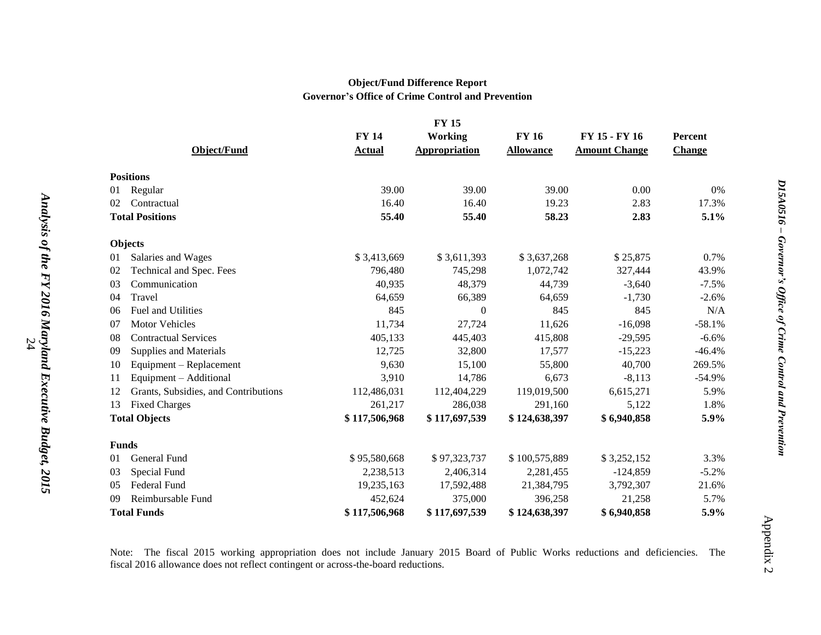#### **Object/Fund Difference Report Governor's Office of Crime Control and Prevention**

|    |                                      |               | <b>FY 15</b>         |                  |                      |               |
|----|--------------------------------------|---------------|----------------------|------------------|----------------------|---------------|
|    |                                      | <b>FY 14</b>  | <b>Working</b>       | <b>FY 16</b>     | FY 15 - FY 16        | Percent       |
|    | Object/Fund                          | Actual        | <b>Appropriation</b> | <b>Allowance</b> | <b>Amount Change</b> | <b>Change</b> |
|    | <b>Positions</b>                     |               |                      |                  |                      |               |
| 01 | Regular                              | 39.00         | 39.00                | 39.00            | 0.00                 | 0%            |
| 02 | Contractual                          | 16.40         | 16.40                | 19.23            | 2.83                 | 17.3%         |
|    | <b>Total Positions</b>               | 55.40         | 55.40                | 58.23            | 2.83                 | 5.1%          |
|    | Objects                              |               |                      |                  |                      |               |
| 01 | Salaries and Wages                   | \$3,413,669   | \$3,611,393          | \$3,637,268      | \$25,875             | 0.7%          |
| 02 | Technical and Spec. Fees             | 796,480       | 745,298              | 1,072,742        | 327,444              | 43.9%         |
| 03 | Communication                        | 40,935        | 48,379               | 44,739           | $-3,640$             | $-7.5%$       |
| 04 | Travel                               | 64,659        | 66,389               | 64,659           | $-1,730$             | $-2.6%$       |
| 06 | Fuel and Utilities                   | 845           | $\mathbf{0}$         | 845              | 845                  | N/A           |
| 07 | <b>Motor Vehicles</b>                | 11,734        | 27,724               | 11,626           | $-16,098$            | $-58.1%$      |
| 08 | <b>Contractual Services</b>          | 405,133       | 445,403              | 415,808          | $-29,595$            | $-6.6%$       |
| 09 | Supplies and Materials               | 12,725        | 32,800               | 17,577           | $-15,223$            | $-46.4%$      |
| 10 | Equipment - Replacement              | 9,630         | 15,100               | 55,800           | 40,700               | 269.5%        |
| 11 | Equipment - Additional               | 3,910         | 14,786               | 6,673            | $-8,113$             | $-54.9%$      |
| 12 | Grants, Subsidies, and Contributions | 112,486,031   | 112,404,229          | 119,019,500      | 6,615,271            | 5.9%          |
| 13 | <b>Fixed Charges</b>                 | 261,217       | 286,038              | 291,160          | 5,122                | 1.8%          |
|    | <b>Total Objects</b>                 | \$117,506,968 | \$117,697,539        | \$124,638,397    | \$6,940,858          | 5.9%          |
|    | <b>Funds</b>                         |               |                      |                  |                      |               |
| 01 | General Fund                         | \$95,580,668  | \$97,323,737         | \$100,575,889    | \$3,252,152          | 3.3%          |
| 03 | Special Fund                         | 2,238,513     | 2,406,314            | 2,281,455        | $-124,859$           | $-5.2%$       |
| 05 | Federal Fund                         | 19,235,163    | 17,592,488           | 21,384,795       | 3,792,307            | 21.6%         |
| 09 | Reimbursable Fund                    | 452,624       | 375,000              | 396,258          | 21,258               | 5.7%          |
|    | <b>Total Funds</b>                   | \$117,506,968 | \$117,697,539        | \$124,638,397    | \$6,940,858          | 5.9%          |

Note: The fiscal 2015 working appropriation does not include January 2015 Board of Public Works reductions and deficiencies. The fiscal 2016 allowance does not reflect contingent or across-the-board reductions.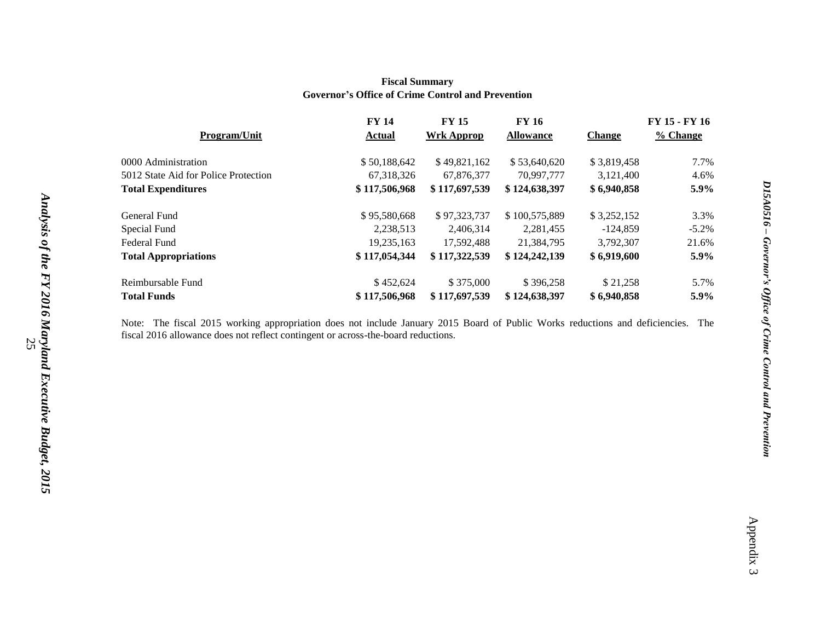#### **Fiscal Summary Governor's Office of Crime Control and Prevention**

|                                      | <b>FY 14</b>  | <b>FY 15</b>  | <b>FY 16</b>     |               | FY 15 - FY 16 |
|--------------------------------------|---------------|---------------|------------------|---------------|---------------|
| <b>Program/Unit</b>                  | <b>Actual</b> | Wrk Approp    | <b>Allowance</b> | <b>Change</b> | % Change      |
| 0000 Administration                  | \$50,188,642  | \$49,821,162  | \$53,640,620     | \$3,819,458   | 7.7%          |
| 5012 State Aid for Police Protection | 67,318,326    | 67,876,377    | 70.997.777       | 3,121,400     | 4.6%          |
| <b>Total Expenditures</b>            | \$117,506,968 | \$117,697,539 | \$124,638,397    | \$6,940,858   | 5.9%          |
| General Fund                         | \$95,580,668  | \$97,323,737  | \$100,575,889    | \$3,252,152   | 3.3%          |
| Special Fund                         | 2.238.513     | 2.406.314     | 2.281.455        | $-124.859$    | $-5.2\%$      |
| Federal Fund                         | 19,235,163    | 17,592,488    | 21,384,795       | 3,792,307     | 21.6%         |
| <b>Total Appropriations</b>          | \$117,054,344 | \$117,322,539 | \$124,242,139    | \$6,919,600   | 5.9%          |
| Reimbursable Fund                    | \$452,624     | \$375,000     | \$396.258        | \$21,258      | 5.7%          |
| <b>Total Funds</b>                   | \$117,506,968 | \$117,697,539 | \$124,638,397    | \$6,940,858   | 5.9%          |

Note: The fiscal 2015 working appropriation does not include January 2015 Board of Public Works reductions and deficiencies. The fiscal 2016 allowance does not reflect contingent or across-the-board reductions.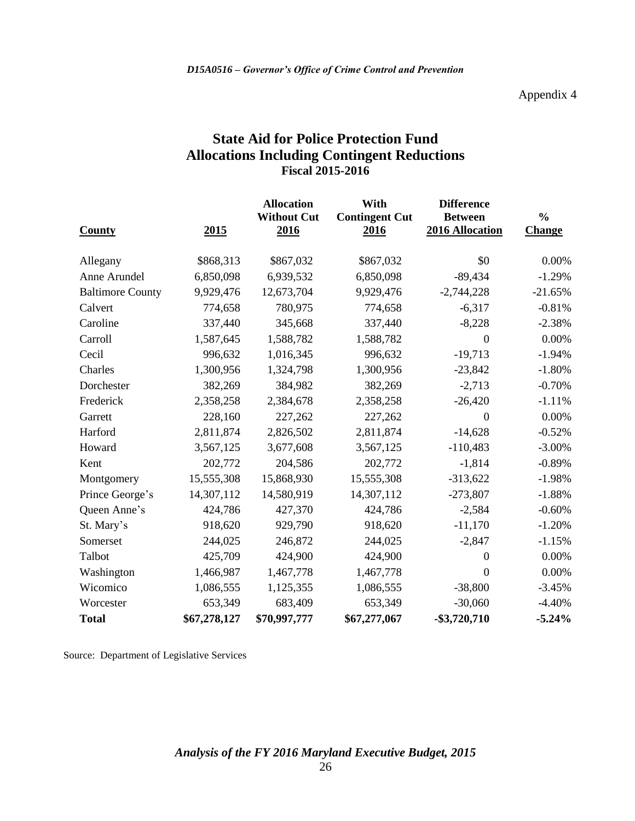## **State Aid for Police Protection Fund Allocations Including Contingent Reductions Fiscal 2015-2016**

| <b>County</b>           | 2015         | <b>Allocation</b><br><b>Without Cut</b><br>2016 | With<br><b>Contingent Cut</b><br>2016 | <b>Difference</b><br><b>Between</b><br>2016 Allocation | $\frac{0}{0}$<br><b>Change</b> |
|-------------------------|--------------|-------------------------------------------------|---------------------------------------|--------------------------------------------------------|--------------------------------|
| Allegany                | \$868,313    | \$867,032                                       | \$867,032                             | \$0                                                    | 0.00%                          |
| Anne Arundel            | 6,850,098    | 6,939,532                                       | 6,850,098                             | $-89,434$                                              | $-1.29%$                       |
| <b>Baltimore County</b> | 9,929,476    | 12,673,704                                      | 9,929,476                             | $-2,744,228$                                           | $-21.65%$                      |
| Calvert                 | 774,658      | 780,975                                         | 774,658                               | $-6,317$                                               | $-0.81%$                       |
| Caroline                | 337,440      | 345,668                                         | 337,440                               | $-8,228$                                               | $-2.38%$                       |
| Carroll                 | 1,587,645    | 1,588,782                                       | 1,588,782                             | $\theta$                                               | 0.00%                          |
| Cecil                   | 996,632      | 1,016,345                                       | 996,632                               | $-19,713$                                              | $-1.94%$                       |
| Charles                 | 1,300,956    | 1,324,798                                       | 1,300,956                             | $-23,842$                                              | $-1.80%$                       |
| Dorchester              | 382,269      | 384,982                                         | 382,269                               | $-2,713$                                               | $-0.70%$                       |
| Frederick               | 2,358,258    | 2,384,678                                       | 2,358,258                             | $-26,420$                                              | $-1.11%$                       |
| Garrett                 | 228,160      | 227,262                                         | 227,262                               | $\overline{0}$                                         | 0.00%                          |
| Harford                 | 2,811,874    | 2,826,502                                       | 2,811,874                             | $-14,628$                                              | $-0.52%$                       |
| Howard                  | 3,567,125    | 3,677,608                                       | 3,567,125                             | $-110,483$                                             | $-3.00%$                       |
| Kent                    | 202,772      | 204,586                                         | 202,772                               | $-1,814$                                               | $-0.89%$                       |
| Montgomery              | 15,555,308   | 15,868,930                                      | 15,555,308                            | $-313,622$                                             | $-1.98%$                       |
| Prince George's         | 14,307,112   | 14,580,919                                      | 14,307,112                            | $-273,807$                                             | $-1.88%$                       |
| Queen Anne's            | 424,786      | 427,370                                         | 424,786                               | $-2,584$                                               | $-0.60%$                       |
| St. Mary's              | 918,620      | 929,790                                         | 918,620                               | $-11,170$                                              | $-1.20%$                       |
| Somerset                | 244,025      | 246,872                                         | 244,025                               | $-2,847$                                               | $-1.15%$                       |
| Talbot                  | 425,709      | 424,900                                         | 424,900                               | $\mathbf{0}$                                           | 0.00%                          |
| Washington              | 1,466,987    | 1,467,778                                       | 1,467,778                             | $\mathbf{0}$                                           | 0.00%                          |
| Wicomico                | 1,086,555    | 1,125,355                                       | 1,086,555                             | $-38,800$                                              | $-3.45%$                       |
| Worcester               | 653,349      | 683,409                                         | 653,349                               | $-30,060$                                              | $-4.40%$                       |
| <b>Total</b>            | \$67,278,127 | \$70,997,777                                    | \$67,277,067                          | $-$ \$3,720,710                                        | $-5.24%$                       |

Source: Department of Legislative Services